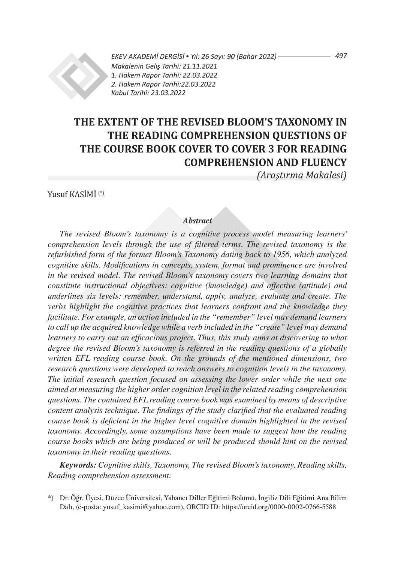

*EKEV AKADEMİ DERGİSİ* • *Yıl: 26 Sayı: 90 (Bahar 2022) Makalenin Geliş Tarihi: 21.11.2021 1. Hakem Rapor Tarihi: 22.03.2022 2. Hakem Rapor Tarihi:22.03.2022 Kabul Tarihi: 23.03.2022*

# **THE EXTENT OF THE REVISED BLOOM'S TAXONOMY IN THE READING COMPREHENSION QUESTIONS OF THE COURSE BOOK COVER TO COVER 3 FOR READING COMPREHENSION AND FLUENCY**

*(Araştırma Makalesi)*

Yusuf KASİMİ (\*)

### *Abstract*

*The revised Bloom's taxonomy is a cognitive process model measuring learners' comprehension levels through the use of filtered terms. The revised taxonomy is the refurbished form of the former Bloom's Taxonomy dating back to 1956, which analyzed cognitive skills. Modifications in concepts, system, format and prominence are involved in the revised model. The revised Bloom's taxonomy covers two learning domains that constitute instructional objectives: cognitive (knowledge) and affective (attitude) and underlines six levels: remember, understand, apply, analyze, evaluate and create. The verbs highlight the cognitive practices that learners confront and the knowledge they facilitate. For example, an action included in the "remember" level may demand learners to call up the acquired knowledge while a verb included in the "create" level may demand learners to carry out an efficacious project. Thus, this study aims at discovering to what degree the revised Bloom's taxonomy is referred in the reading questions of a globally written EFL reading course book. On the grounds of the mentioned dimensions, two research questions were developed to reach answers to cognition levels in the taxonomy. The initial research question focused on assessing the lower order while the next one aimed at measuring the higher order cognition level in the related reading comprehension questions. The contained EFL reading course book was examined by means of descriptive content analysis technique. The findings of the study clarified that the evaluated reading course book is deficient in the higher level cognitive domain highlighted in the revised taxonomy. Accordingly, some assumptions have been made to suggest how the reading course books which are being produced or will be produced should hint on the revised taxonomy in their reading questions.*

*Keywords: Cognitive skills, Taxonomy, The revised Bloom's taxonomy, Reading skills, Reading comprehension assessment.*

*497*

<sup>\*)</sup> Dr. Öğr. Üyesi, Düzce Üniversitesi, Yabancı Diller Eğitimi Bölümü, İngiliz Dili Eğitimi Ana Bilim Dalı, (e-posta: yusuf\_kasimi@yahoo.com), ORCID ID: https://orcid.org/0000-0002-0766-5588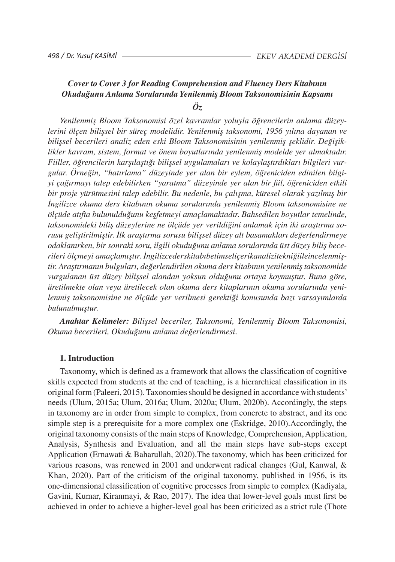## *Cover to Cover 3 for Reading Comprehension and Fluency Ders Kitabının Okuduğunu Anlama Sorularında Yenilenmiş Bloom Taksonomisinin Kapsamı Öz*

*Yenilenmiş Bloom Taksonomisi özel kavramlar yoluyla öğrencilerin anlama düzeylerini ölçen bilişsel bir süreç modelidir. Yenilenmiş taksonomi, 1956 yılına dayanan ve bilişsel becerileri analiz eden eski Bloom Taksonomisinin yenilenmiş şeklidir. Değişiklikler kavram, sistem, format ve önem boyutlarında yenilenmiş modelde yer almaktadır. Fiiller, öğrencilerin karşılaştığı bilişsel uygulamaları ve kolaylaştırdıkları bilgileri vurgular. Örneğin, "hatırlama" düzeyinde yer alan bir eylem, öğreniciden edinilen bilgiyi çağırmayı talep edebilirken "yaratma" düzeyinde yer alan bir fiil, öğreniciden etkili bir proje yürütmesini talep edebilir. Bu nedenle, bu çalışma, küresel olarak yazılmış bir İngilizce okuma ders kitabının okuma sorularında yenilenmiş Bloom taksonomisine ne ölçüde atıfta bulunulduğunu keşfetmeyi amaçlamaktadır. Bahsedilen boyutlar temelinde, taksonomideki biliş düzeylerine ne ölçüde yer verildiğini anlamak için iki araştırma sorusu geliştirilmiştir. İlk araştırma sorusu bilişsel düzey alt basamakları değerlendirmeye odaklanırken, bir sonraki soru, ilgili okuduğunu anlama sorularında üst düzey biliş becerileri ölçmeyi amaçlamıştır. İngilizcederskitabıbetimseliçerikanalizitekniğiileincelenmiştir. Araştırmanın bulguları, değerlendirilen okuma ders kitabının yenilenmiş taksonomide vurgulanan üst düzey bilişsel alandan yoksun olduğunu ortaya koymuştur. Buna göre, üretilmekte olan veya üretilecek olan okuma ders kitaplarının okuma sorularında yenilenmiş taksonomisine ne ölçüde yer verilmesi gerektiği konusunda bazı varsayımlarda bulunulmuştur.*

*Anahtar Kelimeler: Bilişsel beceriler, Taksonomi, Yenilenmiş Bloom Taksonomisi, Okuma becerileri, Okuduğunu anlama değerlendirmesi.*

#### **1. Introduction**

Taxonomy, which is defined as a framework that allows the classification of cognitive skills expected from students at the end of teaching, is a hierarchical classification in its originalform (Paleeri, 2015).Taxonomiesshould be designed in accordance with students' needs (Ulum, 2015a; Ulum, 2016a; Ulum, 2020a; Ulum, 2020b). Accordingly, the steps in taxonomy are in order from simple to complex, from concrete to abstract, and its one simple step is a prerequisite for a more complex one (Eskridge, 2010).Accordingly, the original taxonomy consists of the main steps of Knowledge, Comprehension,Application, Analysis, Synthesis and Evaluation, and all the main steps have sub-steps except Application (Ernawati & Baharullah, 2020).The taxonomy, which has been criticized for various reasons, was renewed in 2001 and underwent radical changes (Gul, Kanwal, & Khan, 2020). Part of the criticism of the original taxonomy, published in 1956, is its one-dimensional classification of cognitive processes from simple to complex (Kadiyala, Gavini, Kumar, Kiranmayi, & Rao, 2017). The idea that lower-level goals must first be achieved in order to achieve a higher-level goal has been criticized as a strict rule (Thote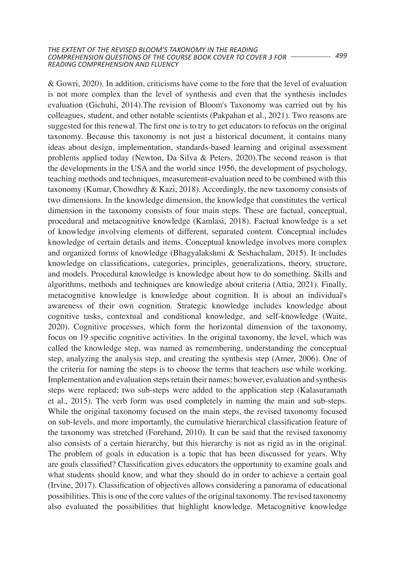& Gowri, 2020). In addition, criticisms have come to the fore that the level of evaluation is not more complex than the level of synthesis and even that the synthesis includes evaluation (Gichuhi, 2014).The revision of Bloom's Taxonomy was carried out by his colleagues, student, and other notable scientists (Pakpahan et al., 2021). Two reasons are suggested for this renewal. The first one is to try to get educators to refocus on the original taxonomy. Because this taxonomy is not just a historical document, it contains many ideas about design, implementation, standards-based learning and original assessment problems applied today (Newton, Da Silva & Peters, 2020).The second reason is that the developments in the USA and the world since 1956, the development of psychology, teaching methods and techniques, measurement-evaluation need to be combined with this taxonomy (Kumar, Chowdhry & Kazi, 2018). Accordingly, the new taxonomy consists of two dimensions. In the knowledge dimension, the knowledge that constitutes the vertical dimension in the taxonomy consists of four main steps. These are factual, conceptual, procedural and metacognitive knowledge (Kamlasi, 2018). Factual knowledge is a set of knowledge involving elements of different, separated content. Conceptual includes knowledge of certain details and items. Conceptual knowledge involves more complex and organized forms of knowledge (Bhagyalakshmi & Seshachalam, 2015). It includes knowledge on classifications, categories, principles, generalizations, theory, structure, and models. Procedural knowledge is knowledge about how to do something. Skills and algorithms, methods and techniques are knowledge about criteria (Attia, 2021). Finally, metacognitive knowledge is knowledge about cognition. It is about an individual's awareness of their own cognition. Strategic knowledge includes knowledge about cognitive tasks, contextual and conditional knowledge, and self-knowledge (Waite, 2020). Cognitive processes, which form the horizontal dimension of the taxonomy, focus on 19 specific cognitive activities. In the original taxonomy, the level, which was called the knowledge step, was named as remembering, understanding the conceptual step, analyzing the analysis step, and creating the synthesis step (Amer, 2006). One of the criteria for naming the steps is to choose the terms that teachers use while working. Implementation and evaluation stepsretain their names; however, evaluation and synthesis steps were replaced; two sub-steps were added to the application step (Kalasuramath et al., 2015). The verb form was used completely in naming the main and sub-steps. While the original taxonomy focused on the main steps, the revised taxonomy focused on sub-levels, and more importantly, the cumulative hierarchical classification feature of the taxonomy was stretched (Forehand, 2010). It can be said that the revised taxonomy also consists of a certain hierarchy, but this hierarchy is not as rigid as in the original. The problem of goals in education is a topic that has been discussed for years. Why are goals classified? Classification gives educators the opportunity to examine goals and what students should know, and what they should do in order to achieve a certain goal (Irvine, 2017). Classification of objectives allows considering a panorama of educational possibilities. Thisis one of the core values of the original taxonomy. The revised taxonomy also evaluated the possibilities that highlight knowledge. Metacognitive knowledge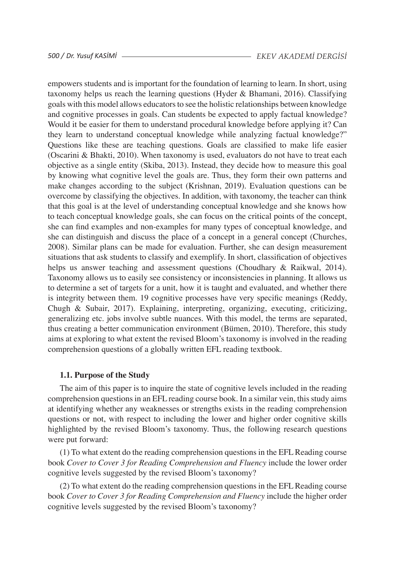empowers students and is important for the foundation of learning to learn. In short, using taxonomy helps us reach the learning questions (Hyder & Bhamani, 2016). Classifying goals with this model allows educatorsto see the holistic relationships between knowledge and cognitive processes in goals. Can students be expected to apply factual knowledge? Would it be easier for them to understand procedural knowledge before applying it? Can they learn to understand conceptual knowledge while analyzing factual knowledge?" Questions like these are teaching questions. Goals are classified to make life easier (Oscarini & Bhakti, 2010). When taxonomy is used, evaluators do not have to treat each objective as a single entity (Skiba, 2013). Instead, they decide how to measure this goal by knowing what cognitive level the goals are. Thus, they form their own patterns and make changes according to the subject (Krishnan, 2019). Evaluation questions can be overcome by classifying the objectives. In addition, with taxonomy, the teacher can think that this goal is at the level of understanding conceptual knowledge and she knows how to teach conceptual knowledge goals, she can focus on the critical points of the concept, she can find examples and non-examples for many types of conceptual knowledge, and she can distinguish and discuss the place of a concept in a general concept (Churches, 2008). Similar plans can be made for evaluation. Further, she can design measurement situations that ask students to classify and exemplify. In short, classification of objectives helps us answer teaching and assessment questions (Choudhary & Raikwal, 2014). Taxonomy allows us to easily see consistency or inconsistencies in planning. It allows us to determine a set of targets for a unit, how it is taught and evaluated, and whether there is integrity between them. 19 cognitive processes have very specific meanings (Reddy, Chugh & Subair, 2017). Explaining, interpreting, organizing, executing, criticizing, generalizing etc. jobs involve subtle nuances. With this model, the terms are separated, thus creating a better communication environment (Bümen, 2010). Therefore, this study aims at exploring to what extent the revised Bloom's taxonomy is involved in the reading comprehension questions of a globally written EFL reading textbook.

## **1.1. Purpose of the Study**

The aim of this paper is to inquire the state of cognitive levels included in the reading comprehension questions in an EFL reading course book. In a similar vein, this study aims at identifying whether any weaknesses or strengths exists in the reading comprehension questions or not, with respect to including the lower and higher order cognitive skills highlighted by the revised Bloom's taxonomy. Thus, the following research questions were put forward:

(1) To what extent do the reading comprehension questions in the EFL Reading course book *Cover to Cover 3 for Reading Comprehension and Fluency* include the lower order cognitive levels suggested by the revised Bloom's taxonomy?

(2) To what extent do the reading comprehension questions in the EFL Reading course book *Cover to Cover 3 for Reading Comprehension and Fluency* include the higher order cognitive levels suggested by the revised Bloom's taxonomy?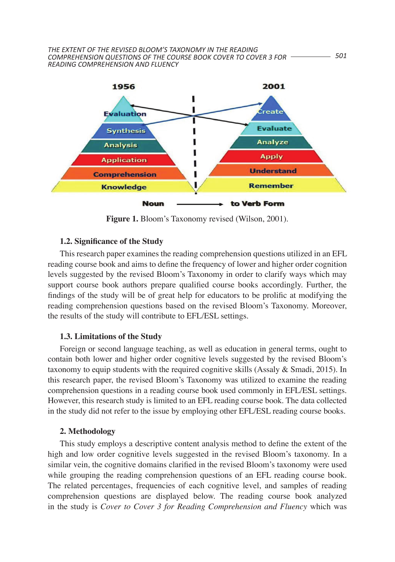

**Figure 1.** Bloom's Taxonomy revised (Wilson, 2001).  $\overline{\mathcal{L}}$  to what extent does not reading comprehensively comprehension  $($  in the EFL,  $\overline{\mathcal{L}}$ 

## **1.2. Significance of the Study**

This research paper examines the reading comprehension questions utilized in an EFL reading course book and aims to define the frequency of lower and higher order cognition reading course book and aims to define the frequency of lower and higher order cognition levels suggested by the revised Bloom's Taxonomy in order to clarify ways which may support course book authors prepare qualified course books accordingly. Further, the Figure 1. Bloom's Taxonomy revised the prolification of the study will be of great help for educators to be prolific at modifying the reading comprehension questions based on the revised Bloom's Taxonomy. Moreover, the results of the study will contribute to EFL/ESL settings.

## **1.3. Limitations of the Study**

Foreign or second language teaching, as well as education in general terms, ought to contain both lower and higher order cognitive levels suggested by the revised Bloom's  $t_0$  taxonomy to equip students with the required cognitive skills (Assaly  $\&$  Smadi, 2015). In this research paper, the revised Bloom's Taxonomy was utilized to examine the reading comprehension questions in a reading course book used commonly in EFL/ESL settings. However, this research study is limited to an EFL reading course book. The data collected in the study did not refer to the issue by employing other EFL/ESL reading course books.

## **2. Methodology education expectively expectively expectively expectively expectively expectively expectively expectively expectively expectively expectively expectively expectively expectivel**

This study employs a descriptive content analysis method to define the extent of the high and low order cognitive levels suggested in the revised Bloom's taxonomy. In a similar vein, the cognitive domains clarified in the revised Bloom's taxonomy were used while grouping the reading comprehension questions of an EFL reading course book. The related percentages, frequencies of each cognitive level, and samples of reading comprehension questions are displayed below. The reading course book analyzed in the study is *Cover to Cover 3 for Reading Comprehension and Fluency* which was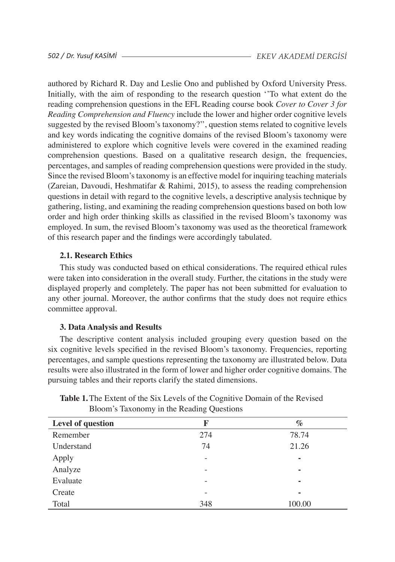authored by Richard R. Day and Leslie Ono and published by Oxford University Press. Initially, with the aim of responding to the research question ''To what extent do the reading comprehension questions in the EFL Reading course book *Cover to Cover 3 for Reading Comprehension and Fluency* include the lower and higher order cognitive levels suggested by the revised Bloom's taxonomy?'', question stems related to cognitive levels and key words indicating the cognitive domains of the revised Bloom's taxonomy were administered to explore which cognitive levels were covered in the examined reading comprehension questions. Based on a qualitative research design, the frequencies, percentages, and samples of reading comprehension questions were provided in the study. Since the revised Bloom'staxonomy is an effective model for inquiring teaching materials (Zareian, Davoudi, Heshmatifar & Rahimi, 2015), to assess the reading comprehension questions in detail with regard to the cognitive levels, a descriptive analysis technique by gathering, listing, and examining the reading comprehension questions based on both low order and high order thinking skills as classified in the revised Bloom's taxonomy was employed. In sum, the revised Bloom's taxonomy was used as the theoretical framework of this research paper and the findings were accordingly tabulated.

## **2.1. Research Ethics**

This study was conducted based on ethical considerations. The required ethical rules were taken into consideration in the overall study. Further, the citations in the study were displayed properly and completely. The paper has not been submitted for evaluation to any other journal. Moreover, the author confirms that the study does not require ethics committee approval.

## **3. Data Analysis and Results**

The descriptive content analysis included grouping every question based on the six cognitive levels specified in the revised Bloom's taxonomy. Frequencies, reporting percentages, and sample questions representing the taxonomy are illustrated below. Data results were also illustrated in the form of lower and higher order cognitive domains. The pursuing tables and their reports clarify the stated dimensions.

| Level of question | F                        | $\%$   |
|-------------------|--------------------------|--------|
| Remember          | 274                      | 78.74  |
| Understand        | 74                       | 21.26  |
| Apply             | $\qquad \qquad -$        | ٠      |
| Analyze           | $\qquad \qquad$          | -      |
| Evaluate          | $\qquad \qquad -$        | ۰      |
| Create            | $\overline{\phantom{0}}$ | ۰      |
| Total             | 348                      | 100.00 |

**Table 1.**The Extent of the Six Levels of the Cognitive Domain of the Revised Bloom's Taxonomy in the Reading Questions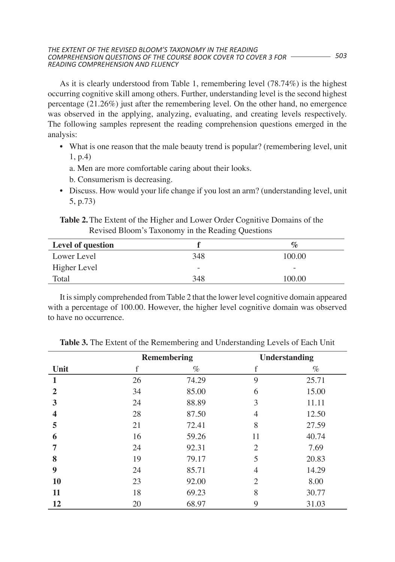#### *503 COMPREHENSION QUESTIONS OF THE COURSE BOOK COVER TO COVER 3 FOR THE EXTENT OF THE REVISED BLOOM'S TAXONOMY IN THE READING READING COMPREHENSION AND FLUENCY*

As it is clearly understood from Table 1, remembering level (78.74%) is the highest occurring cognitive skill among others. Further, understanding level is the second highest percentage (21.26%) just after the remembering level. On the other hand, no emergence was observed in the applying, analyzing, evaluating, and creating levels respectively. The following samples represent the reading comprehension questions emerged in the analysis:

- What is one reason that the male beauty trend is popular? (remembering level, unit 1, p.4)
	- a. Men are more comfortable caring about their looks.
	- b. Consumerism is decreasing.
- Discuss. How would your life change if you lost an arm? (understanding level, unit 5, p.73)

**Table 2.**The Extent of the Higher and Lower Order Cognitive Domains of the Revised Bloom's Taxonomy in the Reading Questions

| Level of question |     | $\mathcal{O}_{\mathcal{O}}$ |
|-------------------|-----|-----------------------------|
| Lower Level       | 348 | 100.00                      |
| Higher Level      |     |                             |
| Total             | 348 | 100.00                      |

It issimply comprehended fromTable 2 that the lower level cognitive domain appeared with a percentage of 100.00. However, the higher level cognitive domain was observed to have no occurrence.

|              | <b>Remembering</b> |       | <b>Understanding</b> |       |
|--------------|--------------------|-------|----------------------|-------|
| Unit         | f                  | $\%$  | f                    | $\%$  |
| 1            | 26                 | 74.29 | 9                    | 25.71 |
| $\mathbf{2}$ | 34                 | 85.00 | 6                    | 15.00 |
| 3            | 24                 | 88.89 | 3                    | 11.11 |
| 4            | 28                 | 87.50 | 4                    | 12.50 |
| 5            | 21                 | 72.41 | 8                    | 27.59 |
| 6            | 16                 | 59.26 | 11                   | 40.74 |
| 7            | 24                 | 92.31 | $\overline{c}$       | 7.69  |
| 8            | 19                 | 79.17 | 5                    | 20.83 |
| 9            | 24                 | 85.71 | 4                    | 14.29 |
| <b>10</b>    | 23                 | 92.00 | $\overline{c}$       | 8.00  |
| 11           | 18                 | 69.23 | 8                    | 30.77 |
| 12           | 20                 | 68.97 | 9                    | 31.03 |

**Table 3.** The Extent of the Remembering and Understanding Levels of Each Unit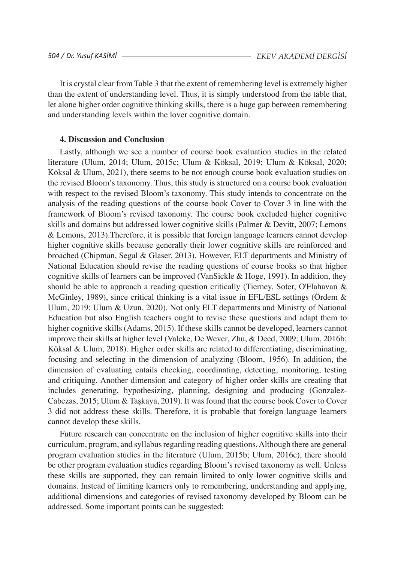It is crystal clear from Table 3 that the extent of remembering level is extremely higher than the extent of understanding level. Thus, it is simply understood from the table that, let alone higher order cognitive thinking skills, there is a huge gap between remembering and understanding levels within the lover cognitive domain.

### **4. Discussion and Conclusion**

Lastly, although we see a number of course book evaluation studies in the related literature (Ulum, 2014; Ulum, 2015c; Ulum & Köksal, 2019; Ulum & Köksal, 2020; Köksal & Ulum, 2021), there seems to be not enough course book evaluation studies on the revised Bloom's taxonomy. Thus, this study is structured on a course book evaluation with respect to the revised Bloom's taxonomy. This study intends to concentrate on the analysis of the reading questions of the course book Cover to Cover 3 in line with the framework of Bloom's revised taxonomy. The course book excluded higher cognitive skills and domains but addressed lower cognitive skills (Palmer & Devitt, 2007; Lemons & Lemons, 2013).Therefore, it is possible that foreign language learners cannot develop higher cognitive skills because generally their lower cognitive skills are reinforced and broached (Chipman, Segal & Glaser, 2013). However, ELT departments and Ministry of National Education should revise the reading questions of course books so that higher cognitive skills of learners can be improved (VanSickle & Hoge, 1991). In addition, they should be able to approach a reading question critically (Tierney, Soter, O'Flahavan & McGinley, 1989), since critical thinking is a vital issue in EFL/ESL settings (Ördem & Ulum, 2019; Ulum & Uzun, 2020). Not only ELT departments and Ministry of National Education but also English teachers ought to revise these questions and adapt them to higher cognitive skills (Adams, 2015). If these skills cannot be developed, learners cannot improve their skills at higher level (Valcke, De Wever, Zhu, & Deed, 2009; Ulum, 2016b; Köksal & Ulum, 2018). Higher order skills are related to differentiating, discriminating, focusing and selecting in the dimension of analyzing (Bloom, 1956). In addition, the dimension of evaluating entails checking, coordinating, detecting, monitoring, testing and critiquing. Another dimension and category of higher order skills are creating that includes generating, hypothesizing, planning, designing and producing (Gonzalez-Cabezas, 2015; Ulum & Taşkaya, 2019). It was found that the course book Cover to Cover 3 did not address these skills. Therefore, it is probable that foreign language learners cannot develop these skills.

Future research can concentrate on the inclusion of higher cognitive skills into their curriculum, program, and syllabusregarding reading questions.Although there are general program evaluation studies in the literature (Ulum, 2015b; Ulum, 2016c), there should be other program evaluation studies regarding Bloom's revised taxonomy as well. Unless these skills are supported, they can remain limited to only lower cognitive skills and domains. Instead of limiting learners only to remembering, understanding and applying, additional dimensions and categories of revised taxonomy developed by Bloom can be addressed. Some important points can be suggested: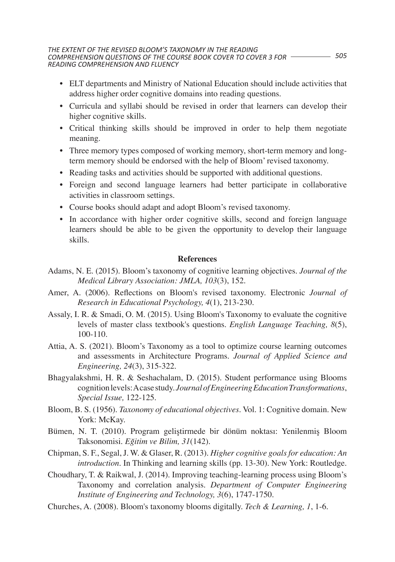- • ELT departments and Ministry of National Education should include activities that address higher order cognitive domains into reading questions.
- • Curricula and syllabi should be revised in order that learners can develop their higher cognitive skills.
- • Critical thinking skills should be improved in order to help them negotiate meaning.
- Three memory types composed of working memory, short-term memory and longterm memory should be endorsed with the help of Bloom' revised taxonomy.
- Reading tasks and activities should be supported with additional questions.
- • Foreign and second language learners had better participate in collaborative activities in classroom settings.
- • Course books should adapt and adopt Bloom's revised taxonomy.
- In accordance with higher order cognitive skills, second and foreign language learners should be able to be given the opportunity to develop their language skills.

## **References**

- Adams, N. E. (2015). Bloom's taxonomy of cognitive learning objectives. *Journal of the Medical Library Association: JMLA, 103*(3), 152.
- Amer, A. (2006). Reflections on Bloom's revised taxonomy. Electronic *Journal of Research in Educational Psychology, 4*(1), 213-230.
- Assaly, I. R. & Smadi, O. M. (2015). Using Bloom's Taxonomy to evaluate the cognitive levels of master class textbook's questions. *English Language Teaching, 8*(5), 100-110.
- Attia, A. S. (2021). Bloom's Taxonomy as a tool to optimize course learning outcomes and assessments in Architecture Programs. *Journal of Applied Science and Engineering, 24*(3), 315-322.
- Bhagyalakshmi, H. R. & Seshachalam, D. (2015). Student performance using Blooms cognitionlevels:Acase study. *Journal of Engineering Education Transformations*, *Special Issue,* 122-125.
- Bloom, B. S. (1956). *Taxonomy of educational objectives*. Vol. 1: Cognitive domain. New York: McKay.
- Bümen, N. T. (2010). Program geliştirmede bir dönüm noktası: Yenilenmiş Bloom Taksonomisi. *Eğitim ve Bilim, 31*(142).
- Chipman, S. F., Segal,J. W. & Glaser, R. (2013). *Higher cognitive goals for education: An introduction*. In Thinking and learning skills (pp. 13-30). New York: Routledge.
- Choudhary, T. & Raikwal, J. (2014). Improving teaching-learning process using Bloom's Taxonomy and correlation analysis. *Department of Computer Engineering Institute of Engineering and Technology, 3*(6), 1747-1750.
- Churches, A. (2008). Bloom's taxonomy blooms digitally. *Tech & Learning, 1*, 1-6.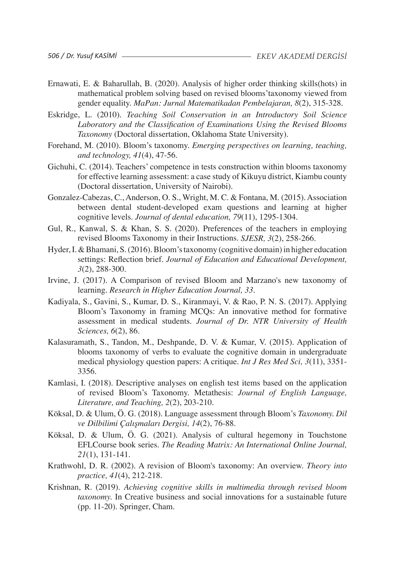- Ernawati, E. & Baharullah, B. (2020). Analysis of higher order thinking skills(hots) in mathematical problem solving based on revised blooms'taxonomy viewed from gender equality. *MaPan: Jurnal Matematikadan Pembelajaran, 8*(2), 315-328.
- Eskridge, L. (2010). *Teaching Soil Conservation in an Introductory Soil Science Laboratory and the Classification of Examinations Using the Revised Blooms Taxonomy* (Doctoral dissertation, Oklahoma State University).
- Forehand, M. (2010). Bloom's taxonomy. *Emerging perspectives on learning, teaching, and technology, 41*(4), 47-56.
- Gichuhi, C. (2014). Teachers' competence in tests construction within blooms taxonomy for effective learning assessment: a case study of Kikuyu district, Kiambu county (Doctoral dissertation, University of Nairobi).
- Gonzalez-Cabezas, C., Anderson, O. S., Wright, M. C. & Fontana, M. (2015). Association between dental student-developed exam questions and learning at higher cognitive levels. *Journal of dental education, 79*(11), 1295-1304.
- Gul, R., Kanwal, S. & Khan, S. S. (2020). Preferences of the teachers in employing revised Blooms Taxonomy in their Instructions. *SJESR, 3*(2), 258-266.
- Hyder,I.&Bhamani, S.(2016).Bloom'staxonomy (cognitive domain)in higher education settings: Reflection brief. *Journal of Education and Educational Development, 3*(2), 288-300.
- Irvine, J. (2017). A Comparison of revised Bloom and Marzano's new taxonomy of learning. *Research in Higher Education Journal, 33*.
- Kadiyala, S., Gavini, S., Kumar, D. S., Kiranmayi, V. & Rao, P. N. S. (2017). Applying Bloom's Taxonomy in framing MCQs: An innovative method for formative assessment in medical students. *Journal of Dr. NTR University of Health Sciences, 6*(2), 86.
- Kalasuramath, S., Tandon, M., Deshpande, D. V. & Kumar, V. (2015). Application of blooms taxonomy of verbs to evaluate the cognitive domain in undergraduate medical physiology question papers: A critique. *Int J Res Med Sci, 3*(11), 3351- 3356.
- Kamlasi, I. (2018). Descriptive analyses on english test items based on the application of revised Bloom's Taxonomy. Metathesis: *Journal of English Language, Literature, and Teaching, 2*(2), 203-210.
- Köksal, D. & Ulum, Ö. G. (2018). Language assessment through Bloom's *Taxonomy. Dil ve Dilbilimi Çalışmaları Dergisi, 14*(2), 76-88.
- Köksal, D. & Ulum, Ö. G. (2021). Analysis of cultural hegemony in Touchstone EFLCourse book series. *The Reading Matrix: An International Online Journal, 21*(1), 131-141.
- Krathwohl, D. R. (2002). A revision of Bloom's taxonomy: An overview. *Theory into practice, 41*(4), 212-218.
- Krishnan, R. (2019). *Achieving cognitive skills in multimedia through revised bloom taxonomy.* In Creative business and social innovations for a sustainable future (pp. 11-20). Springer, Cham.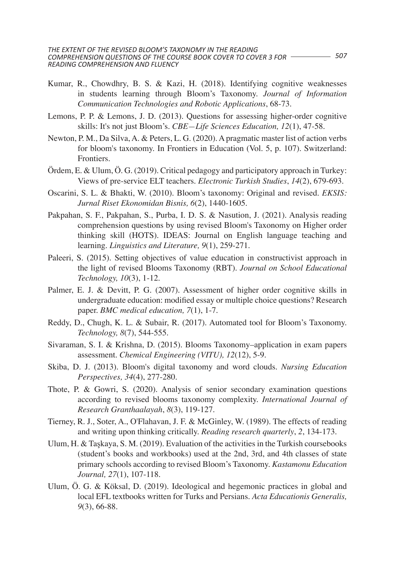- Kumar, R., Chowdhry, B. S. & Kazi, H. (2018). Identifying cognitive weaknesses in students learning through Bloom's Taxonomy. *Journal of Information Communication Technologies and Robotic Applications*, 68-73.
- Lemons, P. P. & Lemons, J. D. (2013). Questions for assessing higher-order cognitive skills: It's not just Bloom's. *CBE—Life Sciences Education, 12*(1), 47-58.
- Newton, P. M., Da Silva,A. & Peters, L. G. (2020).Apragmatic master list of action verbs for bloom's taxonomy. In Frontiers in Education (Vol. 5, p. 107). Switzerland: Frontiers.
- Ördem, E. & Ulum, Ö. G. (2019). Critical pedagogy and participatory approach in Turkey: Views of pre-service ELT teachers. *Electronic Turkish Studies*, *14*(2), 679-693.
- Oscarini, S. L. & Bhakti, W. (2010). Bloom's taxonomy: Original and revised. *EKSIS: Jurnal Riset Ekonomidan Bisnis, 6*(2), 1440-1605.
- Pakpahan, S. F., Pakpahan, S., Purba, I. D. S. & Nasution, J. (2021). Analysis reading comprehension questions by using revised Bloom's Taxonomy on Higher order thinking skill (HOTS). IDEAS: Journal on English language teaching and learning. *Linguistics and Literature, 9*(1), 259-271.
- Paleeri, S. (2015). Setting objectives of value education in constructivist approach in the light of revised Blooms Taxonomy (RBT). *Journal on School Educational Technology, 10*(3), 1-12.
- Palmer, E. J. & Devitt, P. G. (2007). Assessment of higher order cognitive skills in undergraduate education: modified essay or multiple choice questions? Research paper. *BMC medical education, 7*(1), 1-7.
- Reddy, D., Chugh, K. L. & Subair, R. (2017). Automated tool for Bloom's Taxonomy. *Technology, 8*(7), 544-555.
- Sivaraman, S. I. & Krishna, D. (2015). Blooms Taxonomy–application in exam papers assessment. *Chemical Engineering (VITU), 12*(12), 5-9.
- Skiba, D. J. (2013). Bloom's digital taxonomy and word clouds. *Nursing Education Perspectives, 34*(4), 277-280.
- Thote, P. & Gowri, S. (2020). Analysis of senior secondary examination questions according to revised blooms taxonomy complexity. *International Journal of Research Granthaalayah*, *8*(3), 119-127.
- Tierney, R. J., Soter, A., O'Flahavan, J. F. & McGinley, W. (1989). The effects of reading and writing upon thinking critically. *Reading research quarterly*, *2*, 134-173.
- Ulum, H. & Taşkaya, S. M. (2019). Evaluation of the activities in the Turkish coursebooks (student's books and workbooks) used at the 2nd, 3rd, and 4th classes of state primary schools according to revised Bloom's Taxonomy. *Kastamonu Education Journal, 27*(1), 107-118.
- Ulum, Ö. G. & Köksal, D. (2019). Ideological and hegemonic practices in global and local EFL textbooks written for Turks and Persians. *Acta Educationis Generalis, 9*(3), 66-88.